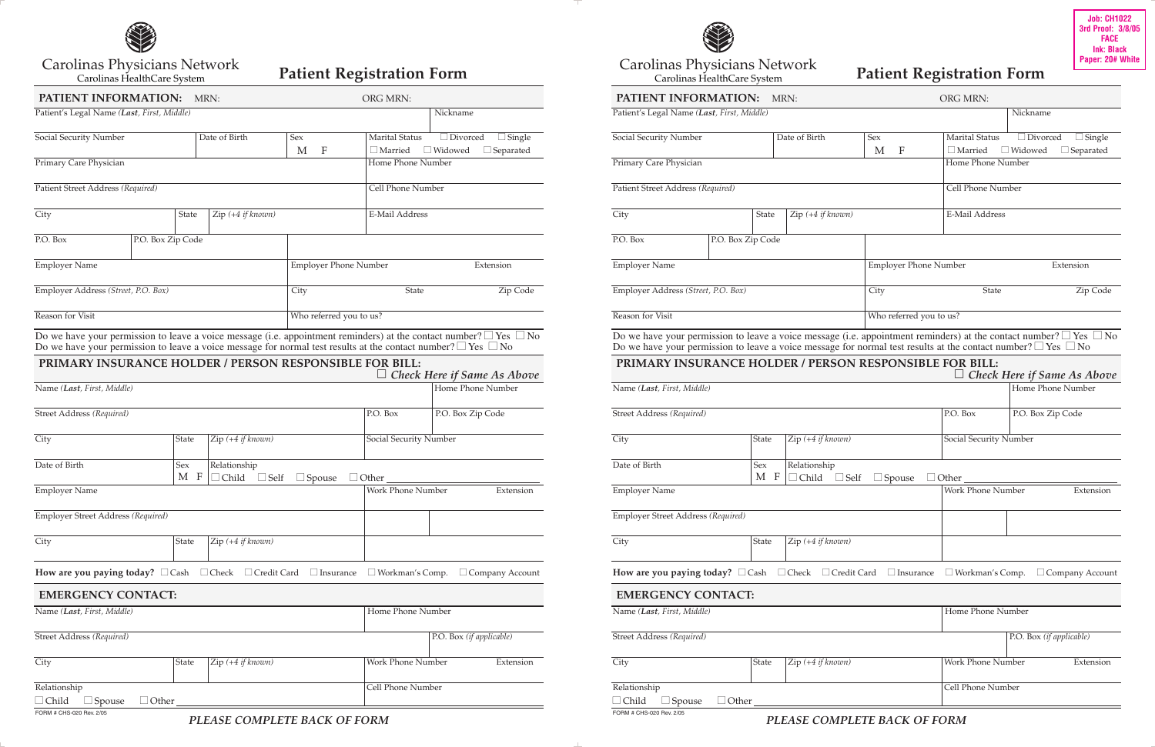

Carolinas Physicians Network

## Patient Registration Form

| PATIENT INFORMATION:                                                                                                    | MRN:              | ORG MRN:                           |                                |                                           |                                                                                                                              |  |  |  |
|-------------------------------------------------------------------------------------------------------------------------|-------------------|------------------------------------|--------------------------------|-------------------------------------------|------------------------------------------------------------------------------------------------------------------------------|--|--|--|
| Patient's Legal Name (Last, First, Middle)                                                                              |                   |                                    |                                |                                           | Nickname                                                                                                                     |  |  |  |
| Social Security Number                                                                                                  |                   | Date of Birth                      | Sex                            | <b>Marital Status</b>                     | $\Box$ Divorced<br>$\Box$ Single                                                                                             |  |  |  |
|                                                                                                                         |                   |                                    |                                | $\Box$ Married                            | $\Box$ Widowed<br>$\Box$ Separated                                                                                           |  |  |  |
| Primary Care Physician                                                                                                  |                   |                                    | $\mathbf{F}$<br>M              |                                           | Home Phone Number                                                                                                            |  |  |  |
| Patient Street Address (Required)                                                                                       |                   |                                    | Cell Phone Number              |                                           |                                                                                                                              |  |  |  |
|                                                                                                                         |                   |                                    |                                |                                           |                                                                                                                              |  |  |  |
| City                                                                                                                    | State             | Zip (+4 if known)                  |                                | E-Mail Address                            |                                                                                                                              |  |  |  |
| P.O. Box                                                                                                                | P.O. Box Zip Code |                                    |                                |                                           |                                                                                                                              |  |  |  |
| <b>Employer Name</b>                                                                                                    |                   |                                    |                                | <b>Employer Phone Number</b><br>Extension |                                                                                                                              |  |  |  |
|                                                                                                                         |                   |                                    |                                |                                           |                                                                                                                              |  |  |  |
| Employer Address (Street, P.O. Box)                                                                                     |                   |                                    | City                           | State                                     | Zip Code                                                                                                                     |  |  |  |
| Reason for Visit                                                                                                        |                   |                                    |                                | Who referred you to us?                   |                                                                                                                              |  |  |  |
| Do we have your permission to leave a voice message for normal test results at the contact number? $\Box$ Yes $\Box$ No |                   |                                    |                                |                                           | Do we have your permission to leave a voice message (i.e. appointment reminders) at the contact number? $\Box$ Yes $\Box$ No |  |  |  |
| PRIMARY INSURANCE HOLDER / PERSON RESPONSIBLE FOR BILL:                                                                 |                   |                                    |                                |                                           | <b>Check Here if Same As Above</b>                                                                                           |  |  |  |
| Name (Last, First, Middle)                                                                                              |                   |                                    |                                |                                           | Home Phone Number                                                                                                            |  |  |  |
|                                                                                                                         |                   |                                    |                                |                                           |                                                                                                                              |  |  |  |
| Street Address (Required)                                                                                               |                   |                                    |                                | P.O. Box                                  | P.O. Box Zip Code                                                                                                            |  |  |  |
| City                                                                                                                    | <b>State</b>      | Zip (+4 if known)                  |                                |                                           | Social Security Number                                                                                                       |  |  |  |
| Date of Birth                                                                                                           | Sex               | Relationship                       |                                |                                           |                                                                                                                              |  |  |  |
|                                                                                                                         | M<br>F            | Child<br>$\Box$ Self               | $\Box$ Spouse                  | $\Box$ Other                              |                                                                                                                              |  |  |  |
| <b>Employer Name</b>                                                                                                    |                   |                                    | Work Phone Number<br>Extension |                                           |                                                                                                                              |  |  |  |
| Employer Street Address (Required)                                                                                      |                   |                                    |                                |                                           |                                                                                                                              |  |  |  |
| City                                                                                                                    | State             | Zip (+4 if known)                  |                                |                                           |                                                                                                                              |  |  |  |
|                                                                                                                         |                   |                                    |                                |                                           |                                                                                                                              |  |  |  |
| How are you paying today? $\Box$ Cash                                                                                   |                   | $\Box$ Check<br>$\Box$ Credit Card | $\Box$ Insurance               | $\Box$ Workman's Comp.                    | $\Box$ Company Account                                                                                                       |  |  |  |
| <b>EMERGENCY CONTACT:</b>                                                                                               |                   |                                    |                                |                                           |                                                                                                                              |  |  |  |
| Name (Last, First, Middle)                                                                                              |                   |                                    | Home Phone Number              |                                           |                                                                                                                              |  |  |  |
|                                                                                                                         |                   |                                    |                                |                                           |                                                                                                                              |  |  |  |
| Street Address (Required)                                                                                               |                   |                                    |                                |                                           | P.O. Box (if applicable)                                                                                                     |  |  |  |
| City                                                                                                                    | State             | Zip (+4 if known)                  |                                | Work Phone Number                         | Extension                                                                                                                    |  |  |  |
| Relationship                                                                                                            |                   |                                    |                                | Cell Phone Number                         |                                                                                                                              |  |  |  |
| child<br>Spouse                                                                                                         | Other             |                                    |                                |                                           |                                                                                                                              |  |  |  |
| FORM # CHS-020 Rev. 2/05                                                                                                |                   |                                    |                                |                                           |                                                                                                                              |  |  |  |